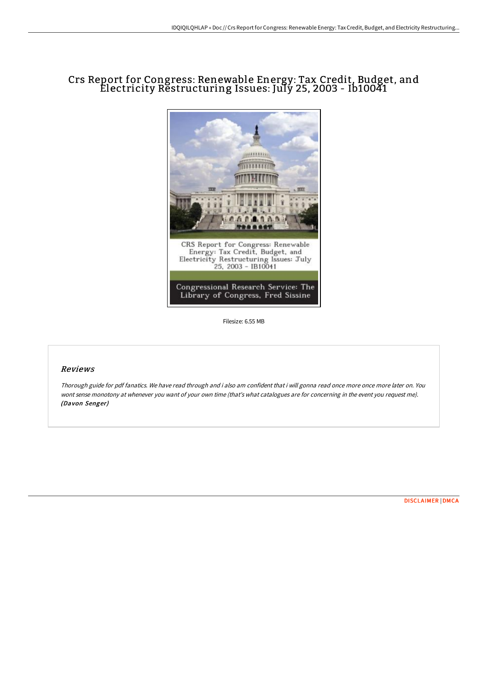## Crs Report for Congress: Renewable Energy: Tax Credit, Budget, and Electricity Restructuring Issues: July 25, 2003 - Ib10041



Filesize: 6.55 MB

## Reviews

Thorough guide for pdf fanatics. We have read through and i also am confident that i will gonna read once more once more later on. You wont sense monotony at whenever you want of your own time (that's what catalogues are for concerning in the event you request me). (Davon Senger)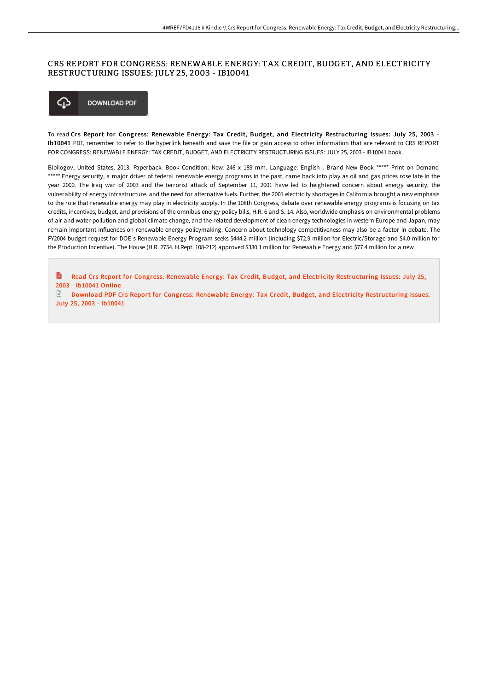## CRS REPORT FOR CONGRESS: RENEWABLE ENERGY: TAX CREDIT, BUDGET, AND ELECTRICITY RESTRUCTURING ISSUES: JULY 25, 2003 - IB10041



To read Crs Report for Congress: Renewable Energy: Tax Credit, Budget, and Electricity Restructuring Issues: July 25, 2003 -Ib10041 PDF, remember to refer to the hyperlink beneath and save the file or gain access to other information that are relevant to CRS REPORT FOR CONGRESS: RENEWABLE ENERGY: TAX CREDIT, BUDGET, AND ELECTRICITY RESTRUCTURING ISSUES: JULY 25, 2003 - IB10041 book.

Bibliogov, United States, 2013. Paperback. Book Condition: New. 246 x 189 mm. Language: English . Brand New Book \*\*\*\*\* Print on Demand \*\*\*\*\*.Energy security, a major driver of federal renewable energy programs in the past, came back into play as oil and gas prices rose late in the year 2000. The Iraq war of 2003 and the terrorist attack of September 11, 2001 have led to heightened concern about energy security, the vulnerability of energy infrastructure, and the need for alternative fuels. Further, the 2001 electricity shortages in California brought a new emphasis to the role that renewable energy may play in electricity supply. In the 108th Congress, debate over renewable energy programs is focusing on tax credits, incentives, budget, and provisions of the omnibus energy policy bills, H.R. 6 and S. 14. Also, worldwide emphasis on environmental problems of air and water pollution and global climate change, and the related development of clean energy technologies in western Europe and Japan, may remain important influences on renewable energy policymaking. Concern about technology competitiveness may also be a factor in debate. The FY2004 budget request for DOE s Renewable Energy Program seeks \$444.2 million (including \$72.9 million for Electric/Storage and \$4.0 million for the Production Incentive). The House (H.R. 2754, H.Rept. 108-212) approved \$330.1 million for Renewable Energy and \$77.4 million for a new .

Read Crs Report for Congress: Renewable Energy: Tax Credit, Budget, and Electricity [Restructuring](http://techno-pub.tech/crs-report-for-congress-renewable-energy-tax-cre-51.html) Issues: July 25, R 2003 - Ib10041 Online

 $\Box$ Download PDF Crs Report for Congress: Renewable Energy: Tax Credit, Budget, and Electricity [Restructuring](http://techno-pub.tech/crs-report-for-congress-renewable-energy-tax-cre-51.html) Issues: July 25, 2003 - Ib10041